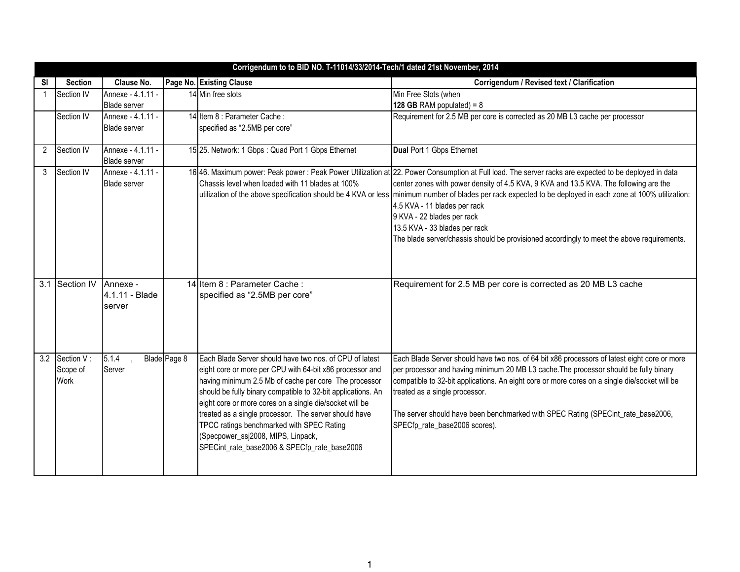|    | Corrigendum to to BID NO. T-11014/33/2014-Tech/1 dated 21st November, 2014 |                                          |              |                                                                                                                                                                                                                                                                                                                                                                                                                                                                                                     |                                                                                                                                                                                                                                                                                                                                                                                                                                                                                                                                                                                                           |  |  |
|----|----------------------------------------------------------------------------|------------------------------------------|--------------|-----------------------------------------------------------------------------------------------------------------------------------------------------------------------------------------------------------------------------------------------------------------------------------------------------------------------------------------------------------------------------------------------------------------------------------------------------------------------------------------------------|-----------------------------------------------------------------------------------------------------------------------------------------------------------------------------------------------------------------------------------------------------------------------------------------------------------------------------------------------------------------------------------------------------------------------------------------------------------------------------------------------------------------------------------------------------------------------------------------------------------|--|--|
| SI | <b>Section</b>                                                             | Clause No.                               |              | Page No. Existing Clause                                                                                                                                                                                                                                                                                                                                                                                                                                                                            | Corrigendum / Revised text / Clarification                                                                                                                                                                                                                                                                                                                                                                                                                                                                                                                                                                |  |  |
|    | Section IV                                                                 | Annexe - 4.1.11 -                        |              | 14 Min free slots                                                                                                                                                                                                                                                                                                                                                                                                                                                                                   | Min Free Slots (when                                                                                                                                                                                                                                                                                                                                                                                                                                                                                                                                                                                      |  |  |
|    |                                                                            | <b>Blade server</b>                      |              |                                                                                                                                                                                                                                                                                                                                                                                                                                                                                                     | 128 GB RAM populated) = $8$                                                                                                                                                                                                                                                                                                                                                                                                                                                                                                                                                                               |  |  |
|    | Section IV                                                                 | Annexe - 4.1.11 -<br><b>Blade server</b> |              | 14 Item 8 : Parameter Cache :<br>specified as "2.5MB per core"                                                                                                                                                                                                                                                                                                                                                                                                                                      | Requirement for 2.5 MB per core is corrected as 20 MB L3 cache per processor                                                                                                                                                                                                                                                                                                                                                                                                                                                                                                                              |  |  |
| 2  | Section IV                                                                 | Annexe - 4.1.11 -<br><b>Blade server</b> |              | 15 25. Network: 1 Gbps: Quad Port 1 Gbps Ethernet                                                                                                                                                                                                                                                                                                                                                                                                                                                   | Dual Port 1 Gbps Ethernet                                                                                                                                                                                                                                                                                                                                                                                                                                                                                                                                                                                 |  |  |
| 3  | Section IV                                                                 | Annexe - 4.1.11 -<br><b>Blade server</b> |              | Chassis level when loaded with 11 blades at 100%                                                                                                                                                                                                                                                                                                                                                                                                                                                    | 16 46. Maximum power: Peak power : Peak Power Utilization at 22. Power Consumption at Full load. The server racks are expected to be deployed in data<br>center zones with power density of 4.5 KVA, 9 KVA and 13.5 KVA. The following are the<br>utilization of the above specification should be 4 KVA or less minimum number of blades per rack expected to be deployed in each zone at 100% utilization:<br>4.5 KVA - 11 blades per rack<br>9 KVA - 22 blades per rack<br>13.5 KVA - 33 blades per rack<br>The blade server/chassis should be provisioned accordingly to meet the above requirements. |  |  |
|    | 3.1 Section IV                                                             | Annexe -<br>4.1.11 - Blade<br>server     |              | 14 Item 8 : Parameter Cache :<br>specified as "2.5MB per core"                                                                                                                                                                                                                                                                                                                                                                                                                                      | Requirement for 2.5 MB per core is corrected as 20 MB L3 cache                                                                                                                                                                                                                                                                                                                                                                                                                                                                                                                                            |  |  |
|    | 3.2 Section V:<br>Scope of<br>Work                                         | 5.1.4<br>Server                          | Blade Page 8 | Each Blade Server should have two nos. of CPU of latest<br>eight core or more per CPU with 64-bit x86 processor and<br>having minimum 2.5 Mb of cache per core The processor<br>should be fully binary compatible to 32-bit applications. An<br>eight core or more cores on a single die/socket will be<br>treated as a single processor. The server should have<br>TPCC ratings benchmarked with SPEC Rating<br>(Specpower_ssj2008, MIPS, Linpack,<br>SPECint_rate_base2006 & SPECfp_rate_base2006 | Each Blade Server should have two nos. of 64 bit x86 processors of latest eight core or more<br>per processor and having minimum 20 MB L3 cache. The processor should be fully binary<br>compatible to 32-bit applications. An eight core or more cores on a single die/socket will be<br>treated as a single processor.<br>The server should have been benchmarked with SPEC Rating (SPECint_rate_base2006,<br>SPECfp_rate_base2006 scores).                                                                                                                                                             |  |  |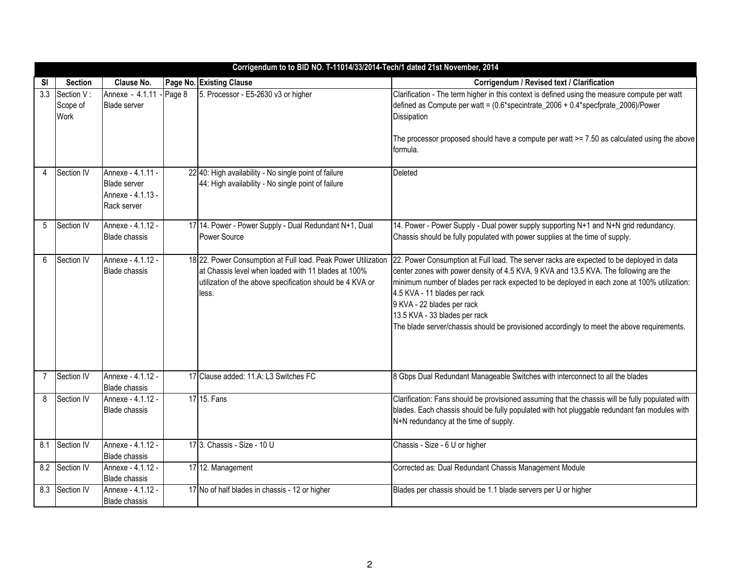|                | Corrigendum to to BID NO. T-11014/33/2014-Tech/1 dated 21st November, 2014 |                                                                              |        |                                                                                                                                                                                            |                                                                                                                                                                                                                                                                                                                                                                                                                                                                               |  |  |
|----------------|----------------------------------------------------------------------------|------------------------------------------------------------------------------|--------|--------------------------------------------------------------------------------------------------------------------------------------------------------------------------------------------|-------------------------------------------------------------------------------------------------------------------------------------------------------------------------------------------------------------------------------------------------------------------------------------------------------------------------------------------------------------------------------------------------------------------------------------------------------------------------------|--|--|
| SI             | <b>Section</b>                                                             | Clause No.                                                                   |        | Page No. Existing Clause                                                                                                                                                                   | Corrigendum / Revised text / Clarification                                                                                                                                                                                                                                                                                                                                                                                                                                    |  |  |
| 3.3            | Section V:<br>Scope of<br>Work                                             | Annexe - 4.1.11<br><b>Blade server</b>                                       | Page 8 | 5. Processor - E5-2630 v3 or higher                                                                                                                                                        | Clarification - The term higher in this context is defined using the measure compute per watt<br>defined as Compute per watt = (0.6*specintrate_2006 + 0.4*specfprate_2006)/Power<br>Dissipation<br>The processor proposed should have a compute per watt $>= 7.50$ as calculated using the above<br>formula.                                                                                                                                                                 |  |  |
| 4              | Section IV                                                                 | Annexe - 4.1.11 -<br><b>Blade server</b><br>Annexe - 4.1.13 -<br>Rack server |        | 22 40: High availability - No single point of failure<br>44: High availability - No single point of failure                                                                                | <b>Deleted</b>                                                                                                                                                                                                                                                                                                                                                                                                                                                                |  |  |
| 5              | Section IV                                                                 | Annexe - 4.1.12 -<br><b>Blade chassis</b>                                    |        | 17 14. Power - Power Supply - Dual Redundant N+1, Dual<br>Power Source                                                                                                                     | 14. Power - Power Supply - Dual power supply supporting N+1 and N+N grid redundancy.<br>Chassis should be fully populated with power supplies at the time of supply.                                                                                                                                                                                                                                                                                                          |  |  |
| 6              | Section IV                                                                 | Annexe - 4.1.12 -<br><b>Blade chassis</b>                                    |        | 18 22. Power Consumption at Full load. Peak Power Utilization<br>at Chassis level when loaded with 11 blades at 100%<br>utilization of the above specification should be 4 KVA or<br>less. | 22. Power Consumption at Full load. The server racks are expected to be deployed in data<br>center zones with power density of 4.5 KVA, 9 KVA and 13.5 KVA. The following are the<br>minimum number of blades per rack expected to be deployed in each zone at 100% utilization:<br>4.5 KVA - 11 blades per rack<br>9 KVA - 22 blades per rack<br>13.5 KVA - 33 blades per rack<br>The blade server/chassis should be provisioned accordingly to meet the above requirements. |  |  |
| $\overline{7}$ | Section IV                                                                 | Annexe - 4.1.12 -<br><b>Blade chassis</b>                                    |        | 17 Clause added: 11.A: L3 Switches FC                                                                                                                                                      | 8 Gbps Dual Redundant Manageable Switches with interconnect to all the blades                                                                                                                                                                                                                                                                                                                                                                                                 |  |  |
| 8              | Section IV                                                                 | Annexe - 4.1.12 -<br><b>Blade chassis</b>                                    |        | 17 15. Fans                                                                                                                                                                                | Clarification: Fans should be provisioned assuming that the chassis will be fully populated with<br>blades. Each chassis should be fully populated with hot pluggable redundant fan modules with<br>N+N redundancy at the time of supply.                                                                                                                                                                                                                                     |  |  |
| 8.1            | Section IV                                                                 | Annexe - 4.1.12 -<br><b>Blade chassis</b>                                    |        | 17 3. Chassis - Size - 10 U                                                                                                                                                                | Chassis - Size - 6 U or higher                                                                                                                                                                                                                                                                                                                                                                                                                                                |  |  |
| 8.2            | Section IV                                                                 | Annexe - 4.1.12 -<br><b>Blade chassis</b>                                    |        | 17 12. Management                                                                                                                                                                          | Corrected as: Dual Redundant Chassis Management Module                                                                                                                                                                                                                                                                                                                                                                                                                        |  |  |
| 8.3            | Section IV                                                                 | Annexe - 4.1.12 -<br><b>Blade chassis</b>                                    |        | 17 No of half blades in chassis - 12 or higher                                                                                                                                             | Blades per chassis should be 1.1 blade servers per U or higher                                                                                                                                                                                                                                                                                                                                                                                                                |  |  |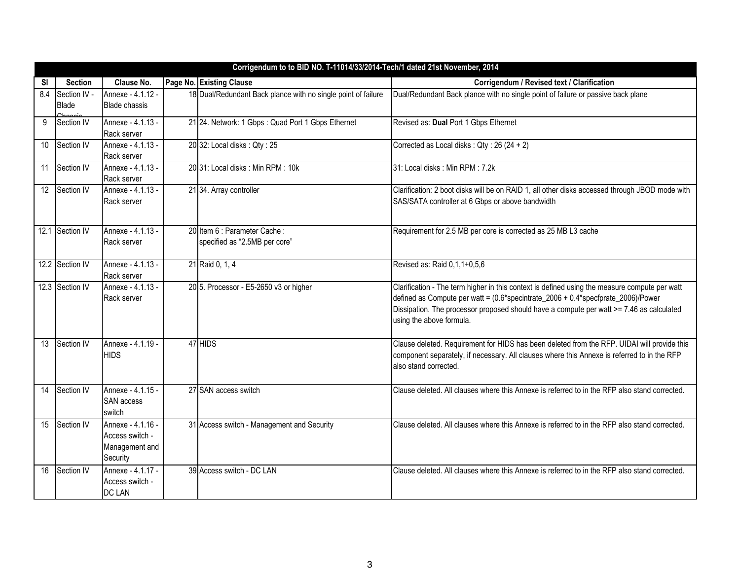|           | Corrigendum to to BID NO. T-11014/33/2014-Tech/1 dated 21st November, 2014 |                      |  |                                                               |                                                                                                                      |  |  |
|-----------|----------------------------------------------------------------------------|----------------------|--|---------------------------------------------------------------|----------------------------------------------------------------------------------------------------------------------|--|--|
| <b>SI</b> | <b>Section</b>                                                             | Clause No.           |  | Page No. Existing Clause                                      | Corrigendum / Revised text / Clarification                                                                           |  |  |
| 8.4       | Section IV -                                                               | Annexe - 4.1.12 -    |  | 18 Dual/Redundant Back plance with no single point of failure | Dual/Redundant Back plance with no single point of failure or passive back plane                                     |  |  |
|           | Blade                                                                      | <b>Blade chassis</b> |  |                                                               |                                                                                                                      |  |  |
| 9         | Section IV                                                                 | Annexe - 4.1.13 -    |  | 21 24. Network: 1 Gbps: Quad Port 1 Gbps Ethernet             | Revised as: Dual Port 1 Gbps Ethernet                                                                                |  |  |
|           |                                                                            | Rack server          |  |                                                               |                                                                                                                      |  |  |
| 10        | Section IV                                                                 | Annexe - 4.1.13 -    |  | 20 32: Local disks: Qty: 25                                   | Corrected as Local disks: Qty: 26 (24 + 2)                                                                           |  |  |
|           |                                                                            | Rack server          |  |                                                               |                                                                                                                      |  |  |
| 11        | Section IV                                                                 | Annexe - 4.1.13 -    |  | 20 31: Local disks: Min RPM: 10k                              | 31: Local disks: Min RPM: 7.2k                                                                                       |  |  |
|           |                                                                            | Rack server          |  |                                                               |                                                                                                                      |  |  |
| 12        | Section IV                                                                 | Annexe - 4.1.13 -    |  | 21 34. Array controller                                       | Clarification: 2 boot disks will be on RAID 1, all other disks accessed through JBOD mode with                       |  |  |
|           |                                                                            | Rack server          |  |                                                               | SAS/SATA controller at 6 Gbps or above bandwidth                                                                     |  |  |
|           |                                                                            |                      |  |                                                               |                                                                                                                      |  |  |
|           | 12.1 Section IV                                                            | Annexe - 4.1.13 -    |  | 20 Item 6 : Parameter Cache :                                 | Requirement for 2.5 MB per core is corrected as 25 MB L3 cache                                                       |  |  |
|           |                                                                            | Rack server          |  | specified as "2.5MB per core"                                 |                                                                                                                      |  |  |
|           |                                                                            |                      |  |                                                               |                                                                                                                      |  |  |
|           | 12.2 Section IV                                                            | Annexe - 4.1.13 -    |  | 21 Raid 0, 1, 4                                               | Revised as: Raid 0,1,1+0,5,6                                                                                         |  |  |
|           |                                                                            | Rack server          |  |                                                               |                                                                                                                      |  |  |
|           | 12.3 Section IV                                                            | Annexe - 4.1.13 -    |  | 20 5. Processor - E5-2650 v3 or higher                        | Clarification - The term higher in this context is defined using the measure compute per watt                        |  |  |
|           |                                                                            | Rack server          |  |                                                               | defined as Compute per watt = (0.6*specintrate_2006 + 0.4*specfprate_2006)/Power                                     |  |  |
|           |                                                                            |                      |  |                                                               | Dissipation. The processor proposed should have a compute per watt >= 7.46 as calculated<br>using the above formula. |  |  |
|           |                                                                            |                      |  |                                                               |                                                                                                                      |  |  |
| 13        | Section IV                                                                 | Annexe - 4.1.19 -    |  | 47 HIDS                                                       | Clause deleted. Requirement for HIDS has been deleted from the RFP. UIDAI will provide this                          |  |  |
|           |                                                                            | <b>HIDS</b>          |  |                                                               | component separately, if necessary. All clauses where this Annexe is referred to in the RFP                          |  |  |
|           |                                                                            |                      |  |                                                               | also stand corrected.                                                                                                |  |  |
|           |                                                                            |                      |  |                                                               |                                                                                                                      |  |  |
| 14        | Section IV                                                                 | Annexe - 4.1.15 -    |  | 27 SAN access switch                                          | Clause deleted. All clauses where this Annexe is referred to in the RFP also stand corrected.                        |  |  |
|           |                                                                            | <b>SAN</b> access    |  |                                                               |                                                                                                                      |  |  |
|           |                                                                            | switch               |  |                                                               |                                                                                                                      |  |  |
| 15        | Section IV                                                                 | Annexe - 4.1.16 -    |  | 31 Access switch - Management and Security                    | Clause deleted. All clauses where this Annexe is referred to in the RFP also stand corrected.                        |  |  |
|           |                                                                            | Access switch -      |  |                                                               |                                                                                                                      |  |  |
|           |                                                                            | Management and       |  |                                                               |                                                                                                                      |  |  |
|           |                                                                            | Security             |  |                                                               |                                                                                                                      |  |  |
| 16        | Section IV                                                                 | Annexe - 4.1.17 -    |  | 39 Access switch - DC LAN                                     | Clause deleted. All clauses where this Annexe is referred to in the RFP also stand corrected.                        |  |  |
|           |                                                                            | Access switch -      |  |                                                               |                                                                                                                      |  |  |
|           |                                                                            | <b>DC LAN</b>        |  |                                                               |                                                                                                                      |  |  |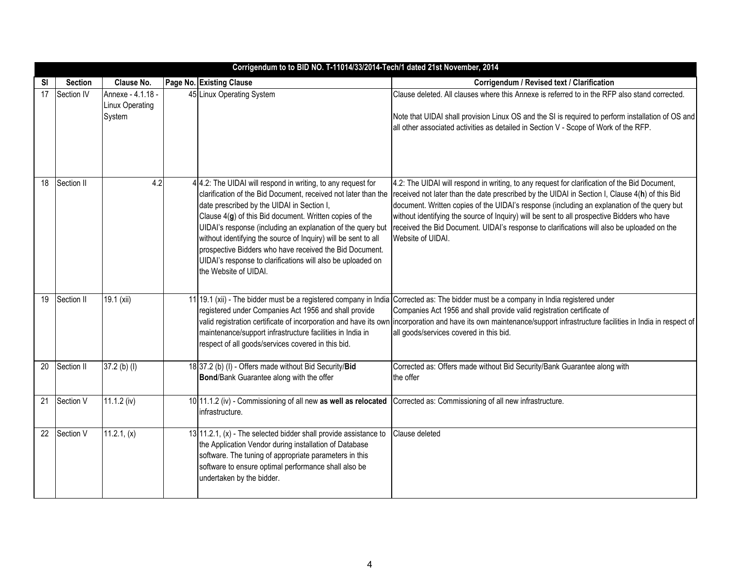|                 | Corrigendum to to BID NO. T-11014/33/2014-Tech/1 dated 21st November, 2014 |                                                |  |                                                                                                                                                                                                                                                                                                                                                                                                                                                                                                                             |                                                                                                                                                                                                                                                                                                                                                                                                                                                                                                                  |  |  |  |
|-----------------|----------------------------------------------------------------------------|------------------------------------------------|--|-----------------------------------------------------------------------------------------------------------------------------------------------------------------------------------------------------------------------------------------------------------------------------------------------------------------------------------------------------------------------------------------------------------------------------------------------------------------------------------------------------------------------------|------------------------------------------------------------------------------------------------------------------------------------------------------------------------------------------------------------------------------------------------------------------------------------------------------------------------------------------------------------------------------------------------------------------------------------------------------------------------------------------------------------------|--|--|--|
| SI              | <b>Section</b>                                                             | Clause No.                                     |  | Page No. Existing Clause                                                                                                                                                                                                                                                                                                                                                                                                                                                                                                    | Corrigendum / Revised text / Clarification                                                                                                                                                                                                                                                                                                                                                                                                                                                                       |  |  |  |
| $\overline{17}$ | Section IV                                                                 | Annexe - 4.1.18 -<br>Linux Operating<br>System |  | 45 Linux Operating System                                                                                                                                                                                                                                                                                                                                                                                                                                                                                                   | Clause deleted. All clauses where this Annexe is referred to in the RFP also stand corrected.<br>Note that UIDAI shall provision Linux OS and the SI is required to perform installation of OS and<br>all other associated activities as detailed in Section V - Scope of Work of the RFP.                                                                                                                                                                                                                       |  |  |  |
|                 |                                                                            |                                                |  |                                                                                                                                                                                                                                                                                                                                                                                                                                                                                                                             |                                                                                                                                                                                                                                                                                                                                                                                                                                                                                                                  |  |  |  |
| 18              | Section II                                                                 | 4.2                                            |  | 4 4.2: The UIDAI will respond in writing, to any request for<br>clarification of the Bid Document, received not later than the<br>date prescribed by the UIDAI in Section I,<br>Clause 4(g) of this Bid document. Written copies of the<br>UIDAI's response (including an explanation of the query but<br>without identifying the source of Inquiry) will be sent to all<br>prospective Bidders who have received the Bid Document.<br>UIDAI's response to clarifications will also be uploaded on<br>the Website of UIDAI. | 4.2: The UIDAI will respond in writing, to any request for clarification of the Bid Document,<br>received not later than the date prescribed by the UIDAI in Section I, Clause 4(h) of this Bid<br>document. Written copies of the UIDAI's response (including an explanation of the query but<br>without identifying the source of Inquiry) will be sent to all prospective Bidders who have<br>received the Bid Document. UIDAI's response to clarifications will also be uploaded on the<br>Website of UIDAI. |  |  |  |
| $\overline{19}$ | Section II                                                                 | 19.1 (xii)                                     |  | 11 19.1 (xii) - The bidder must be a registered company in India<br>registered under Companies Act 1956 and shall provide<br>valid registration certificate of incorporation and have its own<br>maintenance/support infrastructure facilities in India in<br>respect of all goods/services covered in this bid.                                                                                                                                                                                                            | Corrected as: The bidder must be a company in India registered under<br>Companies Act 1956 and shall provide valid registration certificate of<br>incorporation and have its own maintenance/support infrastructure facilities in India in respect of<br>all goods/services covered in this bid.                                                                                                                                                                                                                 |  |  |  |
| 20              | Section II                                                                 | 37.2 (b) (l)                                   |  | 18 37.2 (b) (I) - Offers made without Bid Security/Bid<br>Bond/Bank Guarantee along with the offer                                                                                                                                                                                                                                                                                                                                                                                                                          | Corrected as: Offers made without Bid Security/Bank Guarantee along with<br>the offer                                                                                                                                                                                                                                                                                                                                                                                                                            |  |  |  |
| 21              | Section V                                                                  | $11.1.2$ (iv)                                  |  | 10 11.1.2 (iv) - Commissioning of all new as well as relocated<br>infrastructure.                                                                                                                                                                                                                                                                                                                                                                                                                                           | Corrected as: Commissioning of all new infrastructure.                                                                                                                                                                                                                                                                                                                                                                                                                                                           |  |  |  |
| $\overline{22}$ | Section V                                                                  | $11.2.1$ , (x)                                 |  | 13 11.2.1, (x) - The selected bidder shall provide assistance to<br>the Application Vendor during installation of Database<br>software. The tuning of appropriate parameters in this<br>software to ensure optimal performance shall also be<br>undertaken by the bidder.                                                                                                                                                                                                                                                   | Clause deleted                                                                                                                                                                                                                                                                                                                                                                                                                                                                                                   |  |  |  |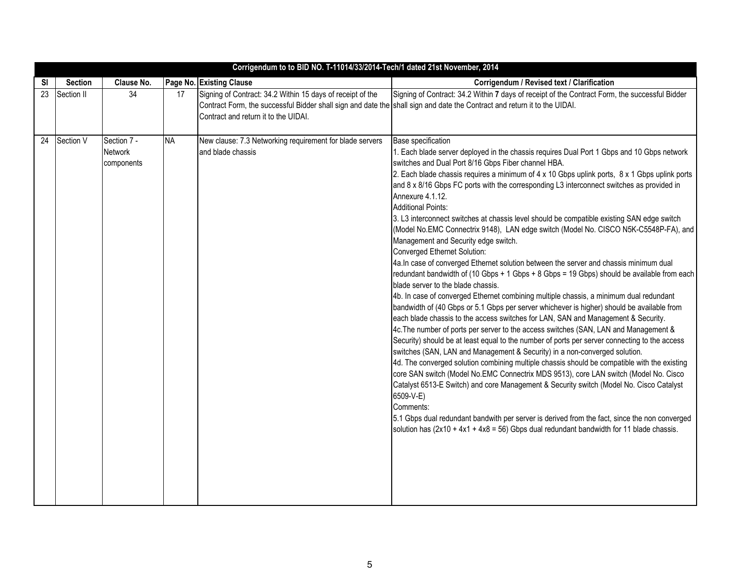|    |                |                                             |           | Corrigendum to to BID NO. T-11014/33/2014-Tech/1 dated 21st November, 2014                                                                                                                                                      |                                                                                                                                                                                                                                                                                                                                                                                                                                                                                                                                                                                                                                                                                                                                                                                                                                                                                                                                                                                                                                                                                                                                                                                                                                                                                                                                                                                                                                                                                                                                                                                                                                                                                                                                                                                                                                                                                                                                                                                          |
|----|----------------|---------------------------------------------|-----------|---------------------------------------------------------------------------------------------------------------------------------------------------------------------------------------------------------------------------------|------------------------------------------------------------------------------------------------------------------------------------------------------------------------------------------------------------------------------------------------------------------------------------------------------------------------------------------------------------------------------------------------------------------------------------------------------------------------------------------------------------------------------------------------------------------------------------------------------------------------------------------------------------------------------------------------------------------------------------------------------------------------------------------------------------------------------------------------------------------------------------------------------------------------------------------------------------------------------------------------------------------------------------------------------------------------------------------------------------------------------------------------------------------------------------------------------------------------------------------------------------------------------------------------------------------------------------------------------------------------------------------------------------------------------------------------------------------------------------------------------------------------------------------------------------------------------------------------------------------------------------------------------------------------------------------------------------------------------------------------------------------------------------------------------------------------------------------------------------------------------------------------------------------------------------------------------------------------------------------|
| SI | <b>Section</b> | Clause No.                                  |           | Page No. Existing Clause                                                                                                                                                                                                        | Corrigendum / Revised text / Clarification                                                                                                                                                                                                                                                                                                                                                                                                                                                                                                                                                                                                                                                                                                                                                                                                                                                                                                                                                                                                                                                                                                                                                                                                                                                                                                                                                                                                                                                                                                                                                                                                                                                                                                                                                                                                                                                                                                                                               |
| 23 | Section II     | 34                                          | 17        | Signing of Contract: 34.2 Within 15 days of receipt of the<br>Contract Form, the successful Bidder shall sign and date the shall sign and date the Contract and return it to the UIDAI.<br>Contract and return it to the UIDAI. | Signing of Contract: 34.2 Within 7 days of receipt of the Contract Form, the successful Bidder                                                                                                                                                                                                                                                                                                                                                                                                                                                                                                                                                                                                                                                                                                                                                                                                                                                                                                                                                                                                                                                                                                                                                                                                                                                                                                                                                                                                                                                                                                                                                                                                                                                                                                                                                                                                                                                                                           |
| 24 | Section V      | Section 7 -<br><b>Network</b><br>components | <b>NA</b> | New clause: 7.3 Networking requirement for blade servers<br>and blade chassis                                                                                                                                                   | <b>Base specification</b><br>1. Each blade server deployed in the chassis requires Dual Port 1 Gbps and 10 Gbps network<br>switches and Dual Port 8/16 Gbps Fiber channel HBA.<br>2. Each blade chassis requires a minimum of 4 x 10 Gbps uplink ports, 8 x 1 Gbps uplink ports<br>and 8 x 8/16 Gbps FC ports with the corresponding L3 interconnect switches as provided in<br>Annexure 4.1.12.<br><b>Additional Points:</b><br>3. L3 interconnect switches at chassis level should be compatible existing SAN edge switch<br>(Model No.EMC Connectrix 9148), LAN edge switch (Model No. CISCO N5K-C5548P-FA), and<br>Management and Security edge switch.<br>Converged Ethernet Solution:<br>4a.In case of converged Ethernet solution between the server and chassis minimum dual<br>redundant bandwidth of (10 Gbps + 1 Gbps + 8 Gbps = 19 Gbps) should be available from each<br>blade server to the blade chassis.<br>4b. In case of converged Ethernet combining multiple chassis, a minimum dual redundant<br>bandwidth of (40 Gbps or 5.1 Gbps per server whichever is higher) should be available from<br>each blade chassis to the access switches for LAN, SAN and Management & Security.<br>4c. The number of ports per server to the access switches (SAN, LAN and Management &<br>Security) should be at least equal to the number of ports per server connecting to the access<br>switches (SAN, LAN and Management & Security) in a non-converged solution.<br>4d. The converged solution combining multiple chassis should be compatible with the existing<br>core SAN switch (Model No.EMC Connectrix MDS 9513), core LAN switch (Model No. Cisco<br>Catalyst 6513-E Switch) and core Management & Security switch (Model No. Cisco Catalyst<br>6509-V-E)<br>Comments:<br>5.1 Gbps dual redundant bandwith per server is derived from the fact, since the non converged<br>solution has $(2x10 + 4x1 + 4x8 = 56)$ Gbps dual redundant bandwidth for 11 blade chassis. |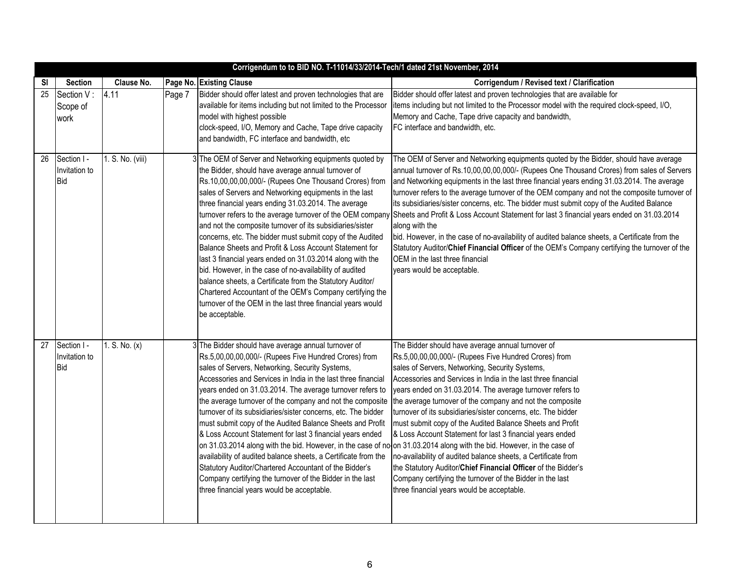|           | Corrigendum to to BID NO. T-11014/33/2014-Tech/1 dated 21st November, 2014 |                  |        |                                                                                                                                                                                                                                                                                                                                                                                                                                                                                                                                                                                                                                                                                                                                                                                                                                                                                                                        |                                                                                                                                                                                                                                                                                                                                                                                                                                                                                                                                                                                                                                                                                                                                                                                                                                                                   |  |
|-----------|----------------------------------------------------------------------------|------------------|--------|------------------------------------------------------------------------------------------------------------------------------------------------------------------------------------------------------------------------------------------------------------------------------------------------------------------------------------------------------------------------------------------------------------------------------------------------------------------------------------------------------------------------------------------------------------------------------------------------------------------------------------------------------------------------------------------------------------------------------------------------------------------------------------------------------------------------------------------------------------------------------------------------------------------------|-------------------------------------------------------------------------------------------------------------------------------------------------------------------------------------------------------------------------------------------------------------------------------------------------------------------------------------------------------------------------------------------------------------------------------------------------------------------------------------------------------------------------------------------------------------------------------------------------------------------------------------------------------------------------------------------------------------------------------------------------------------------------------------------------------------------------------------------------------------------|--|
| <b>SI</b> | <b>Section</b>                                                             | Clause No.       |        | Page No. Existing Clause                                                                                                                                                                                                                                                                                                                                                                                                                                                                                                                                                                                                                                                                                                                                                                                                                                                                                               | Corrigendum / Revised text / Clarification                                                                                                                                                                                                                                                                                                                                                                                                                                                                                                                                                                                                                                                                                                                                                                                                                        |  |
| 25        | Section V:<br>Scope of<br>work                                             | 4.11             | Page 7 | Bidder should offer latest and proven technologies that are<br>available for items including but not limited to the Processor<br>model with highest possible<br>clock-speed, I/O, Memory and Cache, Tape drive capacity<br>and bandwidth, FC interface and bandwidth, etc                                                                                                                                                                                                                                                                                                                                                                                                                                                                                                                                                                                                                                              | Bidder should offer latest and proven technologies that are available for<br>items including but not limited to the Processor model with the required clock-speed, I/O,<br>Memory and Cache, Tape drive capacity and bandwidth,<br>FC interface and bandwidth, etc.                                                                                                                                                                                                                                                                                                                                                                                                                                                                                                                                                                                               |  |
| 26        | Section I -<br>Invitation to<br><b>Bid</b>                                 | 1. S. No. (viii) |        | 3 The OEM of Server and Networking equipments quoted by<br>the Bidder, should have average annual turnover of<br>Rs.10,00,00,00,000/- (Rupees One Thousand Crores) from<br>sales of Servers and Networking equipments in the last<br>three financial years ending 31.03.2014. The average<br>turnover refers to the average turnover of the OEM company<br>and not the composite turnover of its subsidiaries/sister<br>concerns, etc. The bidder must submit copy of the Audited<br>Balance Sheets and Profit & Loss Account Statement for<br>last 3 financial years ended on 31.03.2014 along with the<br>bid. However, in the case of no-availability of audited<br>balance sheets, a Certificate from the Statutory Auditor/<br>Chartered Accountant of the OEM's Company certifying the<br>turnover of the OEM in the last three financial years would<br>be acceptable.                                          | The OEM of Server and Networking equipments quoted by the Bidder, should have average<br>annual turnover of Rs.10,00,00,00,000/- (Rupees One Thousand Crores) from sales of Servers<br>and Networking equipments in the last three financial years ending 31.03.2014. The average<br>turnover refers to the average turnover of the OEM company and not the composite turnover of<br>its subsidiaries/sister concerns, etc. The bidder must submit copy of the Audited Balance<br>Sheets and Profit & Loss Account Statement for last 3 financial years ended on 31.03.2014<br>along with the<br>bid. However, in the case of no-availability of audited balance sheets, a Certificate from the<br>Statutory Auditor/Chief Financial Officer of the OEM's Company certifying the turnover of the<br>OEM in the last three financial<br>years would be acceptable. |  |
| 27        | Section I -<br>Invitation to<br>Bid                                        | 1. S. No. (x)    |        | 3 The Bidder should have average annual turnover of<br>Rs.5,00,00,00,000/- (Rupees Five Hundred Crores) from<br>sales of Servers, Networking, Security Systems,<br>Accessories and Services in India in the last three financial<br>years ended on 31.03.2014. The average turnover refers to<br>the average turnover of the company and not the composite<br>turnover of its subsidiaries/sister concerns, etc. The bidder<br>must submit copy of the Audited Balance Sheets and Profit<br>& Loss Account Statement for last 3 financial years ended<br>on 31.03.2014 along with the bid. However, in the case of nooon 31.03.2014 along with the bid. However, in the case of<br>availability of audited balance sheets, a Certificate from the<br>Statutory Auditor/Chartered Accountant of the Bidder's<br>Company certifying the turnover of the Bidder in the last<br>three financial years would be acceptable. | The Bidder should have average annual turnover of<br>Rs.5,00,00,00,000/- (Rupees Five Hundred Crores) from<br>sales of Servers, Networking, Security Systems,<br>Accessories and Services in India in the last three financial<br>years ended on 31.03.2014. The average turnover refers to<br>the average turnover of the company and not the composite<br>turnover of its subsidiaries/sister concerns, etc. The bidder<br>must submit copy of the Audited Balance Sheets and Profit<br>& Loss Account Statement for last 3 financial years ended<br>no-availability of audited balance sheets, a Certificate from<br>the Statutory Auditor/Chief Financial Officer of the Bidder's<br>Company certifying the turnover of the Bidder in the last<br>three financial years would be acceptable.                                                                  |  |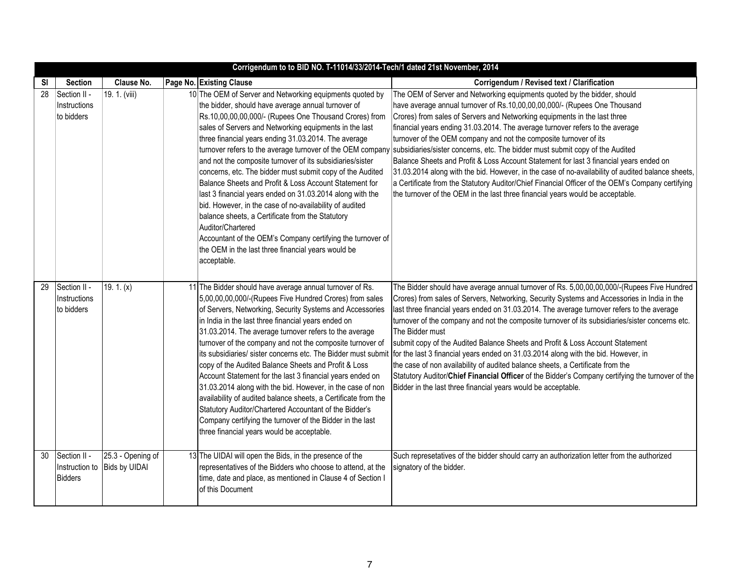|    |                                                  |                                    | Corrigendum to to BID NO. T-11014/33/2014-Tech/1 dated 21st November, 2014                                                                                                                                                                                                                                                                                                                                                                                                                                                                                                                                                                                                                                                                                                                                                                                                       |                                                                                                                                                                                                                                                                                                                                                                                                                                                                                                                                                                                                                                                                                                                                                                                                                                                                |
|----|--------------------------------------------------|------------------------------------|----------------------------------------------------------------------------------------------------------------------------------------------------------------------------------------------------------------------------------------------------------------------------------------------------------------------------------------------------------------------------------------------------------------------------------------------------------------------------------------------------------------------------------------------------------------------------------------------------------------------------------------------------------------------------------------------------------------------------------------------------------------------------------------------------------------------------------------------------------------------------------|----------------------------------------------------------------------------------------------------------------------------------------------------------------------------------------------------------------------------------------------------------------------------------------------------------------------------------------------------------------------------------------------------------------------------------------------------------------------------------------------------------------------------------------------------------------------------------------------------------------------------------------------------------------------------------------------------------------------------------------------------------------------------------------------------------------------------------------------------------------|
| SI | <b>Section</b>                                   | Clause No.                         | Page No. Existing Clause                                                                                                                                                                                                                                                                                                                                                                                                                                                                                                                                                                                                                                                                                                                                                                                                                                                         | Corrigendum / Revised text / Clarification                                                                                                                                                                                                                                                                                                                                                                                                                                                                                                                                                                                                                                                                                                                                                                                                                     |
| 28 | Section II -<br>Instructions<br>to bidders       | 19. 1. (viii)                      | 10 The OEM of Server and Networking equipments quoted by<br>the bidder, should have average annual turnover of<br>Rs.10,00,00,00,000/- (Rupees One Thousand Crores) from<br>sales of Servers and Networking equipments in the last<br>three financial years ending 31.03.2014. The average<br>turnover refers to the average turnover of the OEM company<br>and not the composite turnover of its subsidiaries/sister<br>concerns, etc. The bidder must submit copy of the Audited<br>Balance Sheets and Profit & Loss Account Statement for<br>last 3 financial years ended on 31.03.2014 along with the<br>bid. However, in the case of no-availability of audited<br>balance sheets, a Certificate from the Statutory<br>Auditor/Chartered<br>Accountant of the OEM's Company certifying the turnover of<br>the OEM in the last three financial years would be<br>acceptable. | The OEM of Server and Networking equipments quoted by the bidder, should<br>have average annual turnover of Rs.10,00,00,00,000/- (Rupees One Thousand<br>Crores) from sales of Servers and Networking equipments in the last three<br>financial years ending 31.03.2014. The average turnover refers to the average<br>turnover of the OEM company and not the composite turnover of its<br>subsidiaries/sister concerns, etc. The bidder must submit copy of the Audited<br>Balance Sheets and Profit & Loss Account Statement for last 3 financial years ended on<br>31.03.2014 along with the bid. However, in the case of no-availability of audited balance sheets,<br>a Certificate from the Statutory Auditor/Chief Financial Officer of the OEM's Company certifying<br>the turnover of the OEM in the last three financial years would be acceptable. |
| 29 | Section II -<br>Instructions<br>to bidders       | 19. 1. $(x)$                       | 11 The Bidder should have average annual turnover of Rs.<br>5,00,00,00,000/-(Rupees Five Hundred Crores) from sales<br>of Servers, Networking, Security Systems and Accessories<br>in India in the last three financial years ended on<br>31.03.2014. The average turnover refers to the average<br>turnover of the company and not the composite turnover of<br>its subsidiaries/ sister concerns etc. The Bidder must submit<br>copy of the Audited Balance Sheets and Profit & Loss<br>Account Statement for the last 3 financial years ended on<br>31.03.2014 along with the bid. However, in the case of non<br>availability of audited balance sheets, a Certificate from the<br>Statutory Auditor/Chartered Accountant of the Bidder's<br>Company certifying the turnover of the Bidder in the last<br>three financial years would be acceptable.                         | The Bidder should have average annual turnover of Rs. 5,00,00,00,000/-(Rupees Five Hundred<br>Crores) from sales of Servers, Networking, Security Systems and Accessories in India in the<br>last three financial years ended on 31.03.2014. The average turnover refers to the average<br>turnover of the company and not the composite turnover of its subsidiaries/sister concerns etc.<br>The Bidder must<br>submit copy of the Audited Balance Sheets and Profit & Loss Account Statement<br>for the last 3 financial years ended on 31.03.2014 along with the bid. However, in<br>the case of non availability of audited balance sheets, a Certificate from the<br>Statutory Auditor/Chief Financial Officer of the Bidder's Company certifying the turnover of the<br>Bidder in the last three financial years would be acceptable.                    |
| 30 | Section II -<br>Instruction to<br><b>Bidders</b> | 25.3 - Opening of<br>Bids by UIDAI | 13 The UIDAI will open the Bids, in the presence of the<br>representatives of the Bidders who choose to attend, at the<br>time, date and place, as mentioned in Clause 4 of Section I<br>of this Document                                                                                                                                                                                                                                                                                                                                                                                                                                                                                                                                                                                                                                                                        | Such represetatives of the bidder should carry an authorization letter from the authorized<br>signatory of the bidder.                                                                                                                                                                                                                                                                                                                                                                                                                                                                                                                                                                                                                                                                                                                                         |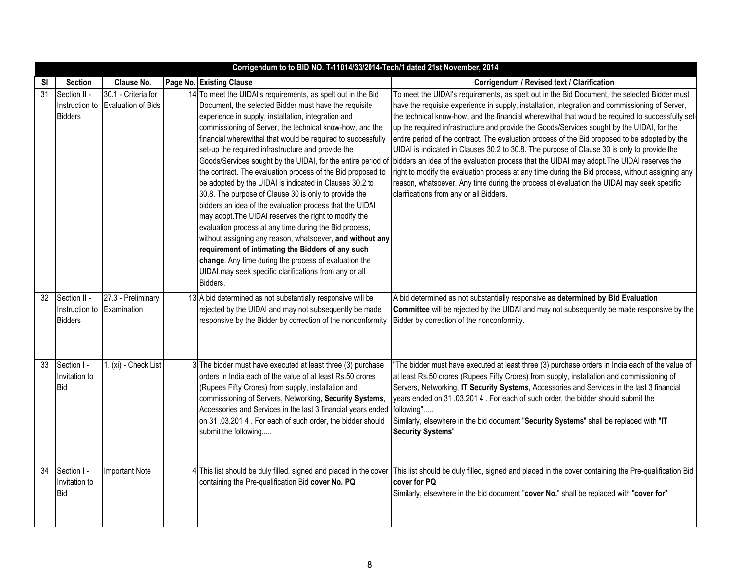|    | Corrigendum to to BID NO. T-11014/33/2014-Tech/1 dated 21st November, 2014 |                                           |    |                                                                                                                                                                                                                                                                                                                                                                                                                                                                                                                                                                                                                                                                                                                                                                                                                                                                                                                                                                                                                                                |                                                                                                                                                                                                                                                                                                                                                                                                                                                                                                                                                                                                                                                                                                                                                                                                                                                                                                                                               |  |  |
|----|----------------------------------------------------------------------------|-------------------------------------------|----|------------------------------------------------------------------------------------------------------------------------------------------------------------------------------------------------------------------------------------------------------------------------------------------------------------------------------------------------------------------------------------------------------------------------------------------------------------------------------------------------------------------------------------------------------------------------------------------------------------------------------------------------------------------------------------------------------------------------------------------------------------------------------------------------------------------------------------------------------------------------------------------------------------------------------------------------------------------------------------------------------------------------------------------------|-----------------------------------------------------------------------------------------------------------------------------------------------------------------------------------------------------------------------------------------------------------------------------------------------------------------------------------------------------------------------------------------------------------------------------------------------------------------------------------------------------------------------------------------------------------------------------------------------------------------------------------------------------------------------------------------------------------------------------------------------------------------------------------------------------------------------------------------------------------------------------------------------------------------------------------------------|--|--|
| SI | <b>Section</b>                                                             | Clause No.                                |    | Page No. Existing Clause                                                                                                                                                                                                                                                                                                                                                                                                                                                                                                                                                                                                                                                                                                                                                                                                                                                                                                                                                                                                                       | Corrigendum / Revised text / Clarification                                                                                                                                                                                                                                                                                                                                                                                                                                                                                                                                                                                                                                                                                                                                                                                                                                                                                                    |  |  |
| 31 | Section II -<br>Instruction to<br><b>Bidders</b>                           | 30.1 - Criteria for<br>Evaluation of Bids | 14 | To meet the UIDAI's requirements, as spelt out in the Bid<br>Document, the selected Bidder must have the requisite<br>experience in supply, installation, integration and<br>commissioning of Server, the technical know-how, and the<br>financial wherewithal that would be required to successfully<br>set-up the required infrastructure and provide the<br>Goods/Services sought by the UIDAI, for the entire period of<br>the contract. The evaluation process of the Bid proposed to<br>be adopted by the UIDAI is indicated in Clauses 30.2 to<br>30.8. The purpose of Clause 30 is only to provide the<br>bidders an idea of the evaluation process that the UIDAI<br>may adopt. The UIDAI reserves the right to modify the<br>evaluation process at any time during the Bid process,<br>without assigning any reason, whatsoever, and without any<br>requirement of intimating the Bidders of any such<br>change. Any time during the process of evaluation the<br>UIDAI may seek specific clarifications from any or all<br>Bidders. | To meet the UIDAI's requirements, as spelt out in the Bid Document, the selected Bidder must<br>have the requisite experience in supply, installation, integration and commissioning of Server,<br>the technical know-how, and the financial wherewithal that would be required to successfully set-<br>up the required infrastructure and provide the Goods/Services sought by the UIDAI, for the<br>entire period of the contract. The evaluation process of the Bid proposed to be adopted by the<br>UIDAI is indicated in Clauses 30.2 to 30.8. The purpose of Clause 30 is only to provide the<br>bidders an idea of the evaluation process that the UIDAI may adopt. The UIDAI reserves the<br>right to modify the evaluation process at any time during the Bid process, without assigning any<br>reason, whatsoever. Any time during the process of evaluation the UIDAI may seek specific<br>clarifications from any or all Bidders. |  |  |
| 32 | Section II -<br>Instruction to<br><b>Bidders</b>                           | 27.3 - Preliminary<br>Examination         |    | 13 A bid determined as not substantially responsive will be<br>rejected by the UIDAI and may not subsequently be made<br>responsive by the Bidder by correction of the nonconformity                                                                                                                                                                                                                                                                                                                                                                                                                                                                                                                                                                                                                                                                                                                                                                                                                                                           | A bid determined as not substantially responsive as determined by Bid Evaluation<br>Committee will be rejected by the UIDAI and may not subsequently be made responsive by the<br>Bidder by correction of the nonconformity.                                                                                                                                                                                                                                                                                                                                                                                                                                                                                                                                                                                                                                                                                                                  |  |  |
| 33 | Section I -<br>Invitation to<br><b>Bid</b>                                 | 1. (xi) - Check List                      |    | 3 The bidder must have executed at least three (3) purchase<br>orders in India each of the value of at least Rs.50 crores<br>(Rupees Fifty Crores) from supply, installation and<br>commissioning of Servers, Networking, Security Systems,<br>Accessories and Services in the last 3 financial years ended<br>on 31 .03.201 4 . For each of such order, the bidder should<br>submit the following                                                                                                                                                                                                                                                                                                                                                                                                                                                                                                                                                                                                                                             | "The bidder must have executed at least three (3) purchase orders in India each of the value of<br>at least Rs.50 crores (Rupees Fifty Crores) from supply, installation and commissioning of<br>Servers, Networking, IT Security Systems, Accessories and Services in the last 3 financial<br>years ended on 31 .03.201 4 . For each of such order, the bidder should submit the<br>following"<br>Similarly, elsewhere in the bid document "Security Systems" shall be replaced with "IT<br><b>Security Systems"</b>                                                                                                                                                                                                                                                                                                                                                                                                                         |  |  |
| 34 | Section I -<br>Invitation to<br><b>Bid</b>                                 | <b>Important Note</b>                     |    | 4 This list should be duly filled, signed and placed in the cover<br>containing the Pre-qualification Bid cover No. PQ                                                                                                                                                                                                                                                                                                                                                                                                                                                                                                                                                                                                                                                                                                                                                                                                                                                                                                                         | This list should be duly filled, signed and placed in the cover containing the Pre-qualification Bid<br>cover for PQ<br>Similarly, elsewhere in the bid document "cover No." shall be replaced with "cover for"                                                                                                                                                                                                                                                                                                                                                                                                                                                                                                                                                                                                                                                                                                                               |  |  |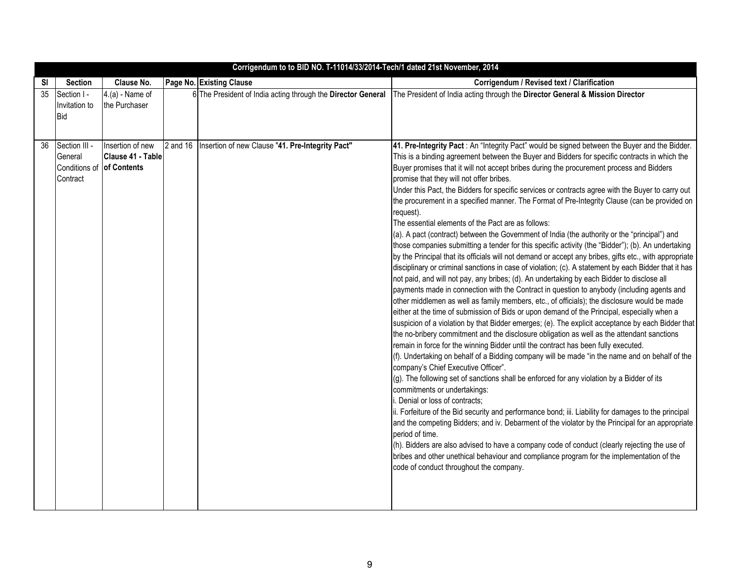|    | Corrigendum to to BID NO. T-11014/33/2014-Tech/1 dated 21st November, 2014 |                                                      |          |                                                              |                                                                                                                                                                                                                                                                                                                                                                                                                                                                                                                                                                                                                                                                                                                                                                                                                                                                                                                                                                                                                                                                                                                                                                                                                                                                                                                                                                                                                                                                                                                                                                                                                                                                                                                                                                                                                                                                                                                                                                                                      |  |  |
|----|----------------------------------------------------------------------------|------------------------------------------------------|----------|--------------------------------------------------------------|------------------------------------------------------------------------------------------------------------------------------------------------------------------------------------------------------------------------------------------------------------------------------------------------------------------------------------------------------------------------------------------------------------------------------------------------------------------------------------------------------------------------------------------------------------------------------------------------------------------------------------------------------------------------------------------------------------------------------------------------------------------------------------------------------------------------------------------------------------------------------------------------------------------------------------------------------------------------------------------------------------------------------------------------------------------------------------------------------------------------------------------------------------------------------------------------------------------------------------------------------------------------------------------------------------------------------------------------------------------------------------------------------------------------------------------------------------------------------------------------------------------------------------------------------------------------------------------------------------------------------------------------------------------------------------------------------------------------------------------------------------------------------------------------------------------------------------------------------------------------------------------------------------------------------------------------------------------------------------------------------|--|--|
| SI | <b>Section</b>                                                             | Clause No.                                           |          | Page No. Existing Clause                                     | Corrigendum / Revised text / Clarification                                                                                                                                                                                                                                                                                                                                                                                                                                                                                                                                                                                                                                                                                                                                                                                                                                                                                                                                                                                                                                                                                                                                                                                                                                                                                                                                                                                                                                                                                                                                                                                                                                                                                                                                                                                                                                                                                                                                                           |  |  |
| 35 | Section I -<br>Invitation to                                               | $4.(a) - Name of$<br>the Purchaser                   |          | 6 The President of India acting through the Director General | The President of India acting through the Director General & Mission Director                                                                                                                                                                                                                                                                                                                                                                                                                                                                                                                                                                                                                                                                                                                                                                                                                                                                                                                                                                                                                                                                                                                                                                                                                                                                                                                                                                                                                                                                                                                                                                                                                                                                                                                                                                                                                                                                                                                        |  |  |
|    | <b>Bid</b>                                                                 |                                                      |          |                                                              |                                                                                                                                                                                                                                                                                                                                                                                                                                                                                                                                                                                                                                                                                                                                                                                                                                                                                                                                                                                                                                                                                                                                                                                                                                                                                                                                                                                                                                                                                                                                                                                                                                                                                                                                                                                                                                                                                                                                                                                                      |  |  |
|    |                                                                            |                                                      |          |                                                              |                                                                                                                                                                                                                                                                                                                                                                                                                                                                                                                                                                                                                                                                                                                                                                                                                                                                                                                                                                                                                                                                                                                                                                                                                                                                                                                                                                                                                                                                                                                                                                                                                                                                                                                                                                                                                                                                                                                                                                                                      |  |  |
| 36 | Section III -<br>General<br>Conditions of<br>Contract                      | Insertion of new<br>Clause 41 - Table<br>of Contents | 2 and 16 | Insertion of new Clause "41. Pre-Integrity Pact"             | 41. Pre-Integrity Pact : An "Integrity Pact" would be signed between the Buyer and the Bidder.<br>This is a binding agreement between the Buyer and Bidders for specific contracts in which the<br>Buyer promises that it will not accept bribes during the procurement process and Bidders<br>promise that they will not offer bribes.<br>Under this Pact, the Bidders for specific services or contracts agree with the Buyer to carry out<br>the procurement in a specified manner. The Format of Pre-Integrity Clause (can be provided on<br>request).<br>The essential elements of the Pact are as follows:<br>(a). A pact (contract) between the Government of India (the authority or the "principal") and<br>those companies submitting a tender for this specific activity (the "Bidder"); (b). An undertaking<br>by the Principal that its officials will not demand or accept any bribes, gifts etc., with appropriate<br>disciplinary or criminal sanctions in case of violation; (c). A statement by each Bidder that it has<br>not paid, and will not pay, any bribes; (d). An undertaking by each Bidder to disclose all<br>payments made in connection with the Contract in question to anybody (including agents and<br>other middlemen as well as family members, etc., of officials); the disclosure would be made<br>either at the time of submission of Bids or upon demand of the Principal, especially when a<br>suspicion of a violation by that Bidder emerges; (e). The explicit acceptance by each Bidder that<br>the no-bribery commitment and the disclosure obligation as well as the attendant sanctions<br>remain in force for the winning Bidder until the contract has been fully executed.<br>(f). Undertaking on behalf of a Bidding company will be made "in the name and on behalf of the<br>company's Chief Executive Officer".<br>(g). The following set of sanctions shall be enforced for any violation by a Bidder of its<br>commitments or undertakings: |  |  |
|    |                                                                            |                                                      |          |                                                              | i. Denial or loss of contracts;<br>ii. Forfeiture of the Bid security and performance bond; iii. Liability for damages to the principal                                                                                                                                                                                                                                                                                                                                                                                                                                                                                                                                                                                                                                                                                                                                                                                                                                                                                                                                                                                                                                                                                                                                                                                                                                                                                                                                                                                                                                                                                                                                                                                                                                                                                                                                                                                                                                                              |  |  |
|    |                                                                            |                                                      |          |                                                              | and the competing Bidders; and iv. Debarment of the violator by the Principal for an appropriate<br>period of time.<br>(h). Bidders are also advised to have a company code of conduct (clearly rejecting the use of                                                                                                                                                                                                                                                                                                                                                                                                                                                                                                                                                                                                                                                                                                                                                                                                                                                                                                                                                                                                                                                                                                                                                                                                                                                                                                                                                                                                                                                                                                                                                                                                                                                                                                                                                                                 |  |  |
|    |                                                                            |                                                      |          |                                                              | bribes and other unethical behaviour and compliance program for the implementation of the<br>code of conduct throughout the company.                                                                                                                                                                                                                                                                                                                                                                                                                                                                                                                                                                                                                                                                                                                                                                                                                                                                                                                                                                                                                                                                                                                                                                                                                                                                                                                                                                                                                                                                                                                                                                                                                                                                                                                                                                                                                                                                 |  |  |
|    |                                                                            |                                                      |          |                                                              |                                                                                                                                                                                                                                                                                                                                                                                                                                                                                                                                                                                                                                                                                                                                                                                                                                                                                                                                                                                                                                                                                                                                                                                                                                                                                                                                                                                                                                                                                                                                                                                                                                                                                                                                                                                                                                                                                                                                                                                                      |  |  |